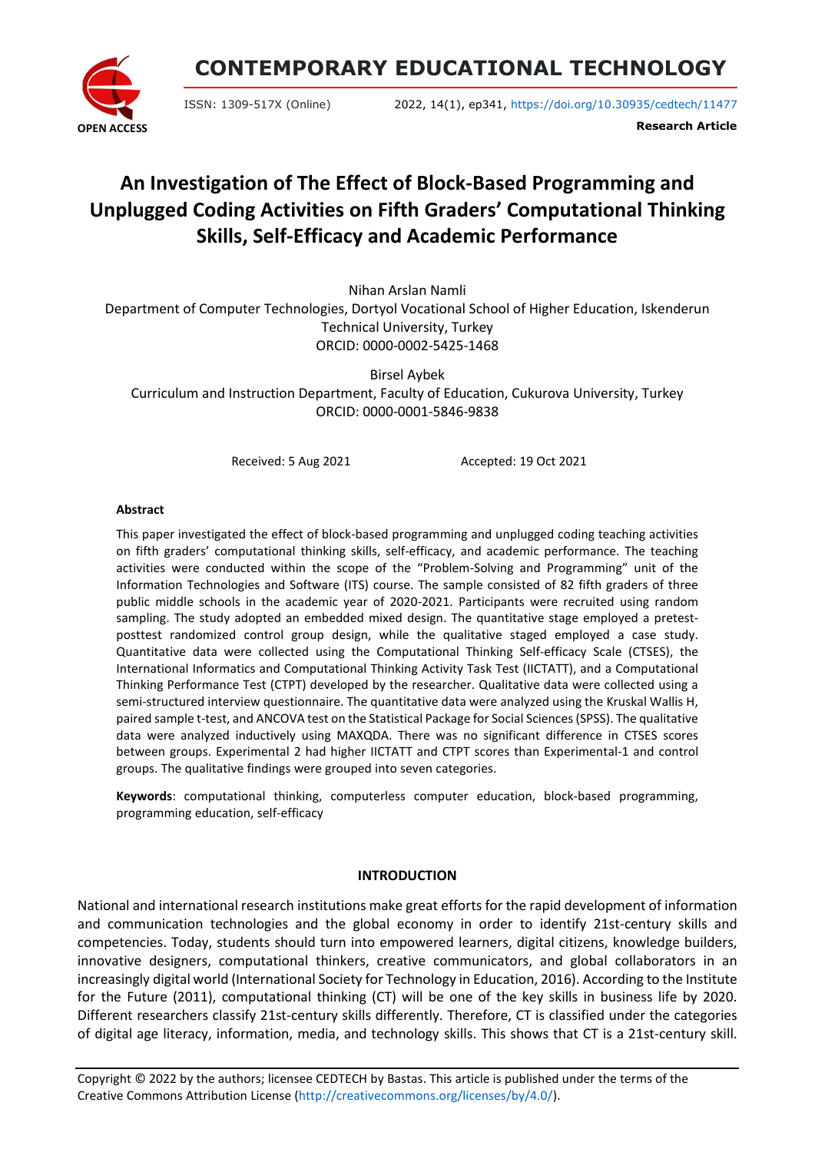

**CONTEMPORARY EDUCATIONAL TECHNOLOGY**

ISSN: 1309-517X (Online) 2022, 14(1), ep341, <https://doi.org/10.30935/cedtech/11477>

**Research Article**

# **An Investigation of The Effect of Block-Based Programming and Unplugged Coding Activities on Fifth Graders' Computational Thinking Skills, Self-Efficacy and Academic Performance**

Nihan Arslan Namli Department of Computer Technologies, Dortyol Vocational School of Higher Education, Iskenderun Technical University, Turkey ORCID: 0000-0002-5425-1468

Birsel Aybek Curriculum and Instruction Department, Faculty of Education, Cukurova University, Turkey ORCID: 0000-0001-5846-9838

Received: 5 Aug 2021 Accepted: 19 Oct 2021

#### **Abstract**

This paper investigated the effect of block-based programming and unplugged coding teaching activities on fifth graders' computational thinking skills, self-efficacy, and academic performance. The teaching activities were conducted within the scope of the "Problem-Solving and Programming" unit of the Information Technologies and Software (ITS) course. The sample consisted of 82 fifth graders of three public middle schools in the academic year of 2020-2021. Participants were recruited using random sampling. The study adopted an embedded mixed design. The quantitative stage employed a pretestposttest randomized control group design, while the qualitative staged employed a case study. Quantitative data were collected using the Computational Thinking Self-efficacy Scale (CTSES), the International Informatics and Computational Thinking Activity Task Test (IICTATT), and a Computational Thinking Performance Test (CTPT) developed by the researcher. Qualitative data were collected using a semi-structured interview questionnaire. The quantitative data were analyzed using the Kruskal Wallis H, paired sample t-test, and ANCOVA test on the Statistical Package for Social Sciences (SPSS). The qualitative data were analyzed inductively using MAXQDA. There was no significant difference in CTSES scores between groups. Experimental 2 had higher IICTATT and CTPT scores than Experimental-1 and control groups. The qualitative findings were grouped into seven categories.

**Keywords**: computational thinking, computerless computer education, block-based programming, programming education, self-efficacy

# **INTRODUCTION**

National and international research institutions make great efforts for the rapid development of information and communication technologies and the global economy in order to identify 21st-century skills and competencies. Today, students should turn into empowered learners, digital citizens, knowledge builders, innovative designers, computational thinkers, creative communicators, and global collaborators in an increasingly digital world (International Society for Technology in Education, 2016). According to the Institute for the Future (2011), computational thinking (CT) will be one of the key skills in business life by 2020. Different researchers classify 21st-century skills differently. Therefore, CT is classified under the categories of digital age literacy, information, media, and technology skills. This shows that CT is a 21st-century skill.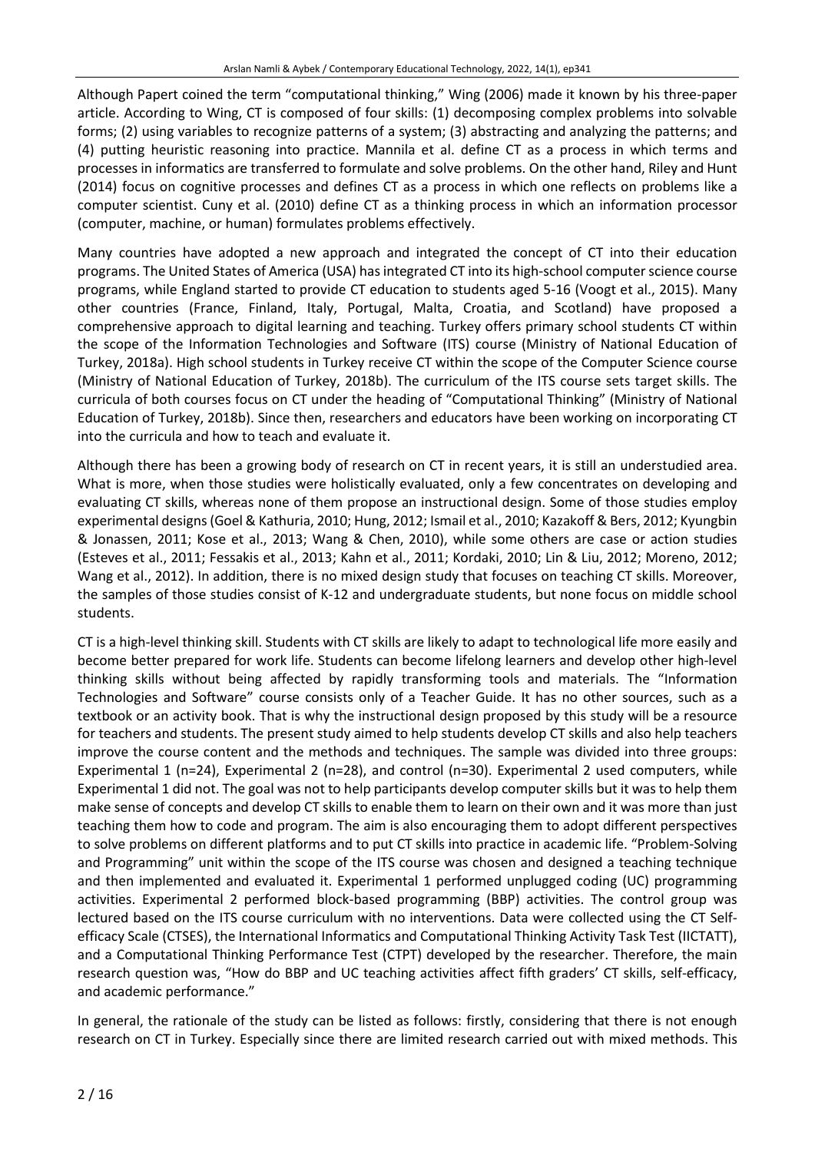Although Papert coined the term "computational thinking," Wing (2006) made it known by his three-paper article. According to Wing, CT is composed of four skills: (1) decomposing complex problems into solvable forms; (2) using variables to recognize patterns of a system; (3) abstracting and analyzing the patterns; and (4) putting heuristic reasoning into practice. Mannila et al. define CT as a process in which terms and processes in informatics are transferred to formulate and solve problems. On the other hand, Riley and Hunt (2014) focus on cognitive processes and defines CT as a process in which one reflects on problems like a computer scientist. Cuny et al. (2010) define CT as a thinking process in which an information processor (computer, machine, or human) formulates problems effectively.

Many countries have adopted a new approach and integrated the concept of CT into their education programs. The United States of America (USA) has integrated CT into its high-school computer science course programs, while England started to provide CT education to students aged 5-16 (Voogt et al., 2015). Many other countries (France, Finland, Italy, Portugal, Malta, Croatia, and Scotland) have proposed a comprehensive approach to digital learning and teaching. Turkey offers primary school students CT within the scope of the Information Technologies and Software (ITS) course (Ministry of National Education of Turkey, 2018a). High school students in Turkey receive CT within the scope of the Computer Science course (Ministry of National Education of Turkey, 2018b). The curriculum of the ITS course sets target skills. The curricula of both courses focus on CT under the heading of "Computational Thinking" (Ministry of National Education of Turkey, 2018b). Since then, researchers and educators have been working on incorporating CT into the curricula and how to teach and evaluate it.

Although there has been a growing body of research on CT in recent years, it is still an understudied area. What is more, when those studies were holistically evaluated, only a few concentrates on developing and evaluating CT skills, whereas none of them propose an instructional design. Some of those studies employ experimental designs(Goel & Kathuria, 2010; Hung, 2012; Ismail et al., 2010; Kazakoff & Bers, 2012; Kyungbin & Jonassen, 2011; Kose et al., 2013; Wang & Chen, 2010), while some others are case or action studies (Esteves et al., 2011; Fessakis et al., 2013; Kahn et al., 2011; Kordaki, 2010; Lin & Liu, 2012; Moreno, 2012; Wang et al., 2012). In addition, there is no mixed design study that focuses on teaching CT skills. Moreover, the samples of those studies consist of K-12 and undergraduate students, but none focus on middle school students.

CT is a high-level thinking skill. Students with CT skills are likely to adapt to technological life more easily and become better prepared for work life. Students can become lifelong learners and develop other high-level thinking skills without being affected by rapidly transforming tools and materials. The "Information Technologies and Software" course consists only of a Teacher Guide. It has no other sources, such as a textbook or an activity book. That is why the instructional design proposed by this study will be a resource for teachers and students. The present study aimed to help students develop CT skills and also help teachers improve the course content and the methods and techniques. The sample was divided into three groups: Experimental 1 (n=24), Experimental 2 (n=28), and control (n=30). Experimental 2 used computers, while Experimental 1 did not. The goal was not to help participants develop computer skills but it was to help them make sense of concepts and develop CT skills to enable them to learn on their own and it was more than just teaching them how to code and program. The aim is also encouraging them to adopt different perspectives to solve problems on different platforms and to put CT skills into practice in academic life. "Problem-Solving and Programming" unit within the scope of the ITS course was chosen and designed a teaching technique and then implemented and evaluated it. Experimental 1 performed unplugged coding (UC) programming activities. Experimental 2 performed block-based programming (BBP) activities. The control group was lectured based on the ITS course curriculum with no interventions. Data were collected using the CT Selfefficacy Scale (CTSES), the International Informatics and Computational Thinking Activity Task Test (IICTATT), and a Computational Thinking Performance Test (CTPT) developed by the researcher. Therefore, the main research question was, "How do BBP and UC teaching activities affect fifth graders' CT skills, self-efficacy, and academic performance."

In general, the rationale of the study can be listed as follows: firstly, considering that there is not enough research on CT in Turkey. Especially since there are limited research carried out with mixed methods. This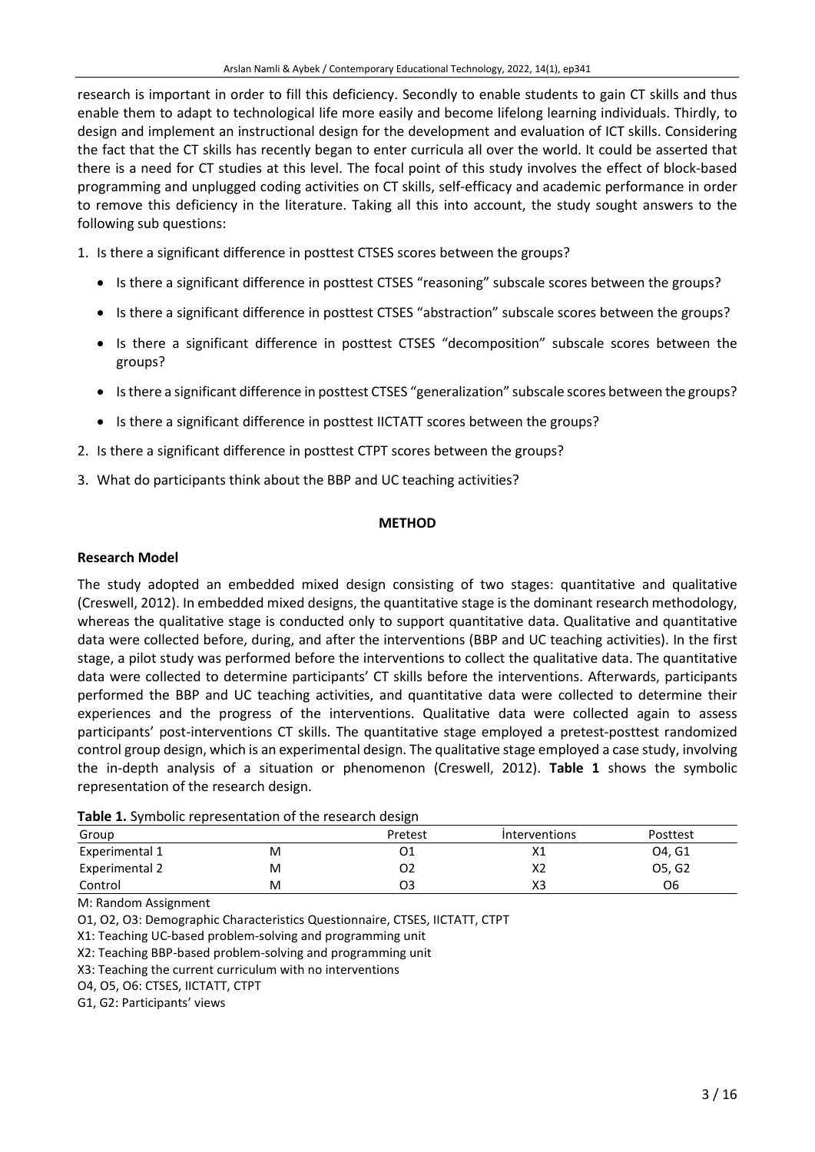research is important in order to fill this deficiency. Secondly to enable students to gain CT skills and thus enable them to adapt to technological life more easily and become lifelong learning individuals. Thirdly, to design and implement an instructional design for the development and evaluation of ICT skills. Considering the fact that the CT skills has recently began to enter curricula all over the world. It could be asserted that there is a need for CT studies at this level. The focal point of this study involves the effect of block-based programming and unplugged coding activities on CT skills, self-efficacy and academic performance in order to remove this deficiency in the literature. Taking all this into account, the study sought answers to the following sub questions:

- 1. Is there a significant difference in posttest CTSES scores between the groups?
	- Is there a significant difference in posttest CTSES "reasoning" subscale scores between the groups?
	- Is there a significant difference in posttest CTSES "abstraction" subscale scores between the groups?
	- Is there a significant difference in posttest CTSES "decomposition" subscale scores between the groups?
	- Isthere a significant difference in posttest CTSES "generalization" subscale scores between the groups?
	- Is there a significant difference in posttest IICTATT scores between the groups?
- 2. Is there a significant difference in posttest CTPT scores between the groups?
- 3. What do participants think about the BBP and UC teaching activities?

#### **METHOD**

#### **Research Model**

The study adopted an embedded mixed design consisting of two stages: quantitative and qualitative (Creswell, 2012). In embedded mixed designs, the quantitative stage is the dominant research methodology, whereas the qualitative stage is conducted only to support quantitative data. Qualitative and quantitative data were collected before, during, and after the interventions (BBP and UC teaching activities). In the first stage, a pilot study was performed before the interventions to collect the qualitative data. The quantitative data were collected to determine participants' CT skills before the interventions. Afterwards, participants performed the BBP and UC teaching activities, and quantitative data were collected to determine their experiences and the progress of the interventions. Qualitative data were collected again to assess participants' post-interventions CT skills. The quantitative stage employed a pretest-posttest randomized control group design, which is an experimental design. The qualitative stage employed a case study, involving the in-depth analysis of a situation or phenomenon (Creswell, 2012). **Table 1** shows the symbolic representation of the research design.

| <b>Table 1:</b> Syllibolic Teplesentation of the research design |   |         |                      |                 |  |  |  |  |  |
|------------------------------------------------------------------|---|---------|----------------------|-----------------|--|--|--|--|--|
| Group                                                            |   | Pretest | <b>Interventions</b> | <b>Posttest</b> |  |  |  |  |  |
| Experimental 1                                                   | M | Ο1      | Х1                   | 04. G1          |  |  |  |  |  |
| Experimental 2                                                   | M | O2      | X2                   | O5. G2          |  |  |  |  |  |
| Control                                                          | M | O3      | XЗ                   | Ο6              |  |  |  |  |  |

|  |  |  |  | Table 1. Symbolic representation of the research design |
|--|--|--|--|---------------------------------------------------------|
|--|--|--|--|---------------------------------------------------------|

M: Random Assignment

O1, O2, O3: Demographic Characteristics Questionnaire, CTSES, IICTATT, CTPT

X1: Teaching UC-based problem-solving and programming unit

X2: Teaching BBP-based problem-solving and programming unit

X3: Teaching the current curriculum with no interventions

O4, O5, O6: CTSES, IICTATT, CTPT

G1, G2: Participants' views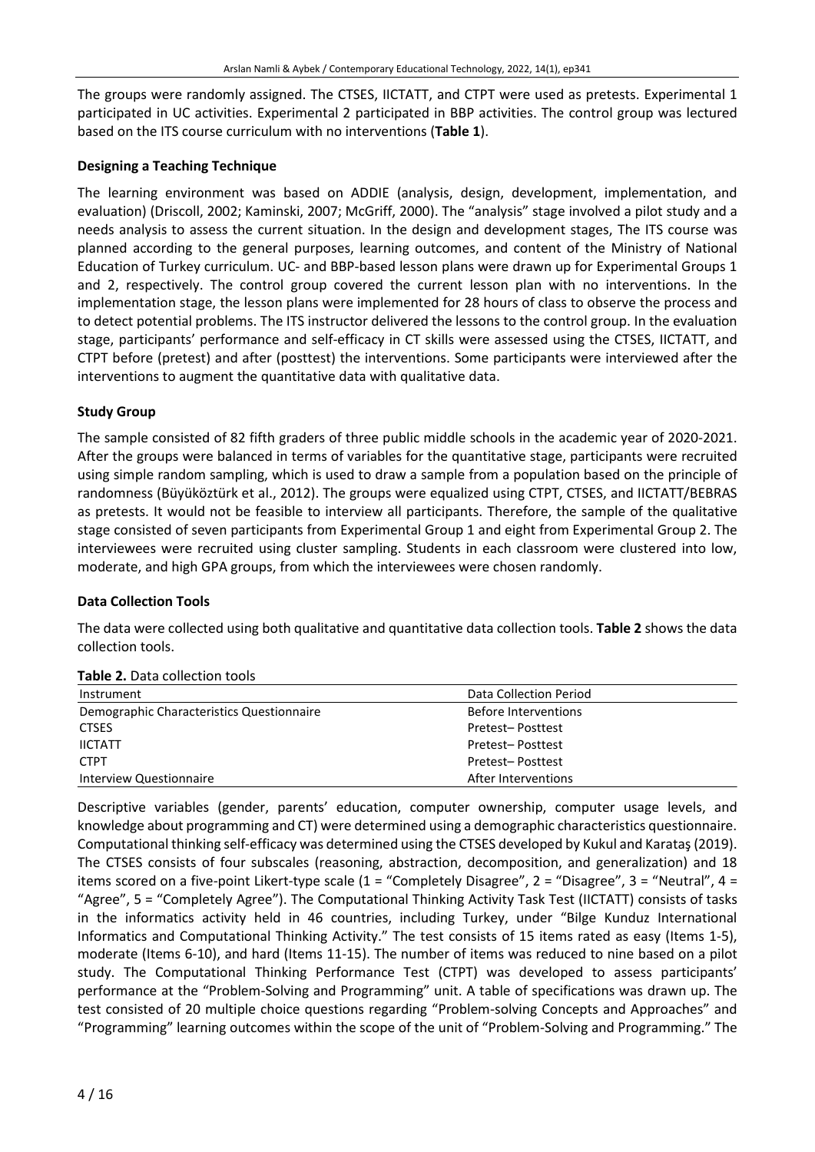The groups were randomly assigned. The CTSES, IICTATT, and CTPT were used as pretests. Experimental 1 participated in UC activities. Experimental 2 participated in BBP activities. The control group was lectured based on the ITS course curriculum with no interventions (**Table 1**).

# **Designing a Teaching Technique**

The learning environment was based on ADDIE (analysis, design, development, implementation, and evaluation) (Driscoll, 2002; Kaminski, 2007; McGriff, 2000). The "analysis" stage involved a pilot study and a needs analysis to assess the current situation. In the design and development stages, The ITS course was planned according to the general purposes, learning outcomes, and content of the Ministry of National Education of Turkey curriculum. UC- and BBP-based lesson plans were drawn up for Experimental Groups 1 and 2, respectively. The control group covered the current lesson plan with no interventions. In the implementation stage, the lesson plans were implemented for 28 hours of class to observe the process and to detect potential problems. The ITS instructor delivered the lessons to the control group. In the evaluation stage, participants' performance and self-efficacy in CT skills were assessed using the CTSES, IICTATT, and CTPT before (pretest) and after (posttest) the interventions. Some participants were interviewed after the interventions to augment the quantitative data with qualitative data.

# **Study Group**

The sample consisted of 82 fifth graders of three public middle schools in the academic year of 2020-2021. After the groups were balanced in terms of variables for the quantitative stage, participants were recruited using simple random sampling, which is used to draw a sample from a population based on the principle of randomness (Büyüköztürk et al., 2012). The groups were equalized using CTPT, CTSES, and IICTATT/BEBRAS as pretests. It would not be feasible to interview all participants. Therefore, the sample of the qualitative stage consisted of seven participants from Experimental Group 1 and eight from Experimental Group 2. The interviewees were recruited using cluster sampling. Students in each classroom were clustered into low, moderate, and high GPA groups, from which the interviewees were chosen randomly.

# **Data Collection Tools**

The data were collected using both qualitative and quantitative data collection tools. **Table 2** shows the data collection tools.

| Instrument                                | Data Collection Period |
|-------------------------------------------|------------------------|
| Demographic Characteristics Questionnaire | Before Interventions   |
| <b>CTSES</b>                              | Pretest-Posttest       |
| <b>IICTATT</b>                            | Pretest-Posttest       |
| <b>CTPT</b>                               | Pretest-Posttest       |
| Interview Questionnaire                   | After Interventions    |

**Table 2.** Data collection tools

Descriptive variables (gender, parents' education, computer ownership, computer usage levels, and knowledge about programming and CT) were determined using a demographic characteristics questionnaire. Computational thinking self-efficacy was determined using the CTSES developed by Kukul and Karataş(2019). The CTSES consists of four subscales (reasoning, abstraction, decomposition, and generalization) and 18 items scored on a five-point Likert-type scale  $(1 -$ "Completely Disagree",  $2 -$ "Disagree",  $3 -$ "Neutral",  $4 -$ "Agree", 5 = "Completely Agree"). The Computational Thinking Activity Task Test (IICTATT) consists of tasks in the informatics activity held in 46 countries, including Turkey, under "Bilge Kunduz International Informatics and Computational Thinking Activity." The test consists of 15 items rated as easy (Items 1-5), moderate (Items 6-10), and hard (Items 11-15). The number of items was reduced to nine based on a pilot study. The Computational Thinking Performance Test (CTPT) was developed to assess participants' performance at the "Problem-Solving and Programming" unit. A table of specifications was drawn up. The test consisted of 20 multiple choice questions regarding "Problem-solving Concepts and Approaches" and "Programming" learning outcomes within the scope of the unit of "Problem-Solving and Programming." The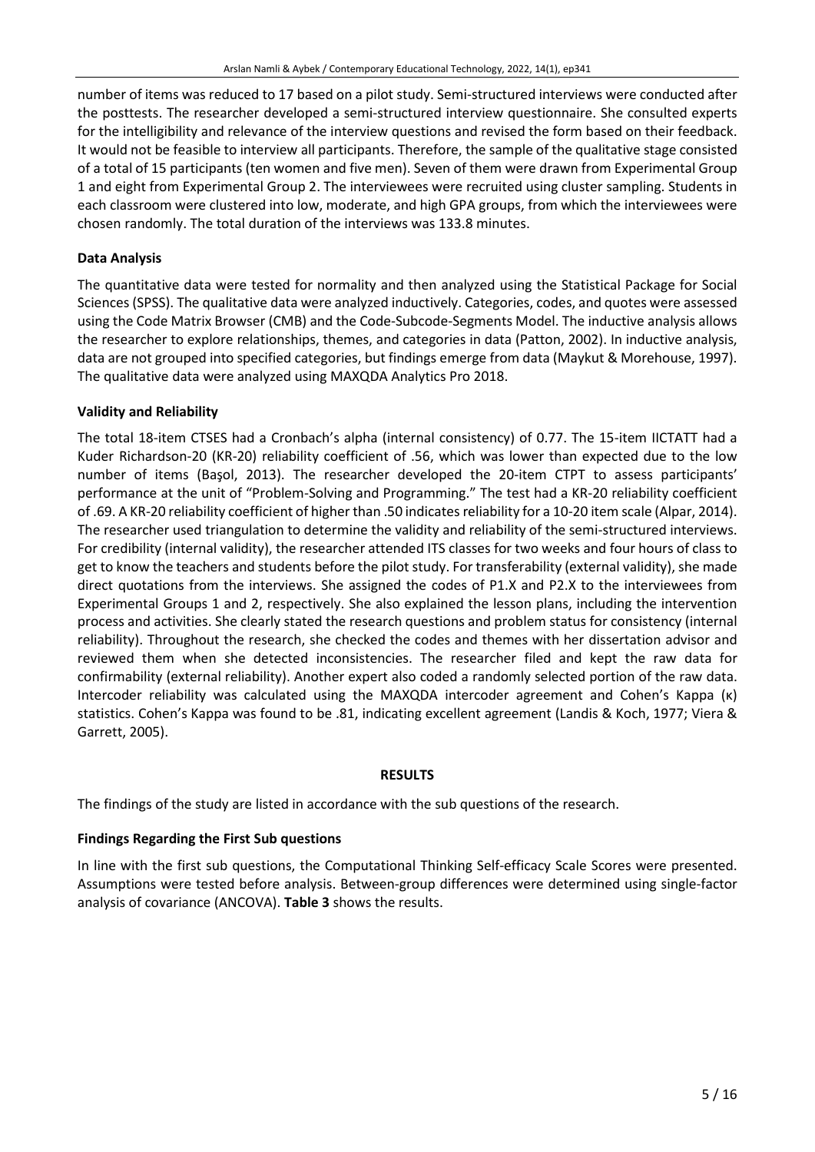number of items was reduced to 17 based on a pilot study. Semi-structured interviews were conducted after the posttests. The researcher developed a semi-structured interview questionnaire. She consulted experts for the intelligibility and relevance of the interview questions and revised the form based on their feedback. It would not be feasible to interview all participants. Therefore, the sample of the qualitative stage consisted of a total of 15 participants (ten women and five men). Seven of them were drawn from Experimental Group 1 and eight from Experimental Group 2. The interviewees were recruited using cluster sampling. Students in each classroom were clustered into low, moderate, and high GPA groups, from which the interviewees were chosen randomly. The total duration of the interviews was 133.8 minutes.

# **Data Analysis**

The quantitative data were tested for normality and then analyzed using the Statistical Package for Social Sciences(SPSS). The qualitative data were analyzed inductively. Categories, codes, and quotes were assessed using the Code Matrix Browser (CMB) and the Code-Subcode-Segments Model. The inductive analysis allows the researcher to explore relationships, themes, and categories in data (Patton, 2002). In inductive analysis, data are not grouped into specified categories, but findings emerge from data (Maykut & Morehouse, 1997). The qualitative data were analyzed using MAXQDA Analytics Pro 2018.

# **Validity and Reliability**

The total 18-item CTSES had a Cronbach's alpha (internal consistency) of 0.77. The 15-item IICTATT had a Kuder Richardson-20 (KR-20) reliability coefficient of .56, which was lower than expected due to the low number of items (Başol, 2013). The researcher developed the 20-item CTPT to assess participants' performance at the unit of "Problem-Solving and Programming." The test had a KR-20 reliability coefficient of .69. A KR-20 reliability coefficient of higher than .50 indicatesreliability for a 10-20 item scale (Alpar, 2014). The researcher used triangulation to determine the validity and reliability of the semi-structured interviews. For credibility (internal validity), the researcher attended ITS classes for two weeks and four hours of class to get to know the teachers and students before the pilot study. For transferability (external validity), she made direct quotations from the interviews. She assigned the codes of P1.X and P2.X to the interviewees from Experimental Groups 1 and 2, respectively. She also explained the lesson plans, including the intervention process and activities. She clearly stated the research questions and problem status for consistency (internal reliability). Throughout the research, she checked the codes and themes with her dissertation advisor and reviewed them when she detected inconsistencies. The researcher filed and kept the raw data for confirmability (external reliability). Another expert also coded a randomly selected portion of the raw data. Intercoder reliability was calculated using the MAXQDA intercoder agreement and Cohen's Kappa (κ) statistics. Cohen's Kappa was found to be .81, indicating excellent agreement (Landis & Koch, 1977; Viera & Garrett, 2005).

# **RESULTS**

The findings of the study are listed in accordance with the sub questions of the research.

# **Findings Regarding the First Sub questions**

In line with the first sub questions, the Computational Thinking Self-efficacy Scale Scores were presented. Assumptions were tested before analysis. Between-group differences were determined using single-factor analysis of covariance (ANCOVA). **Table 3** shows the results.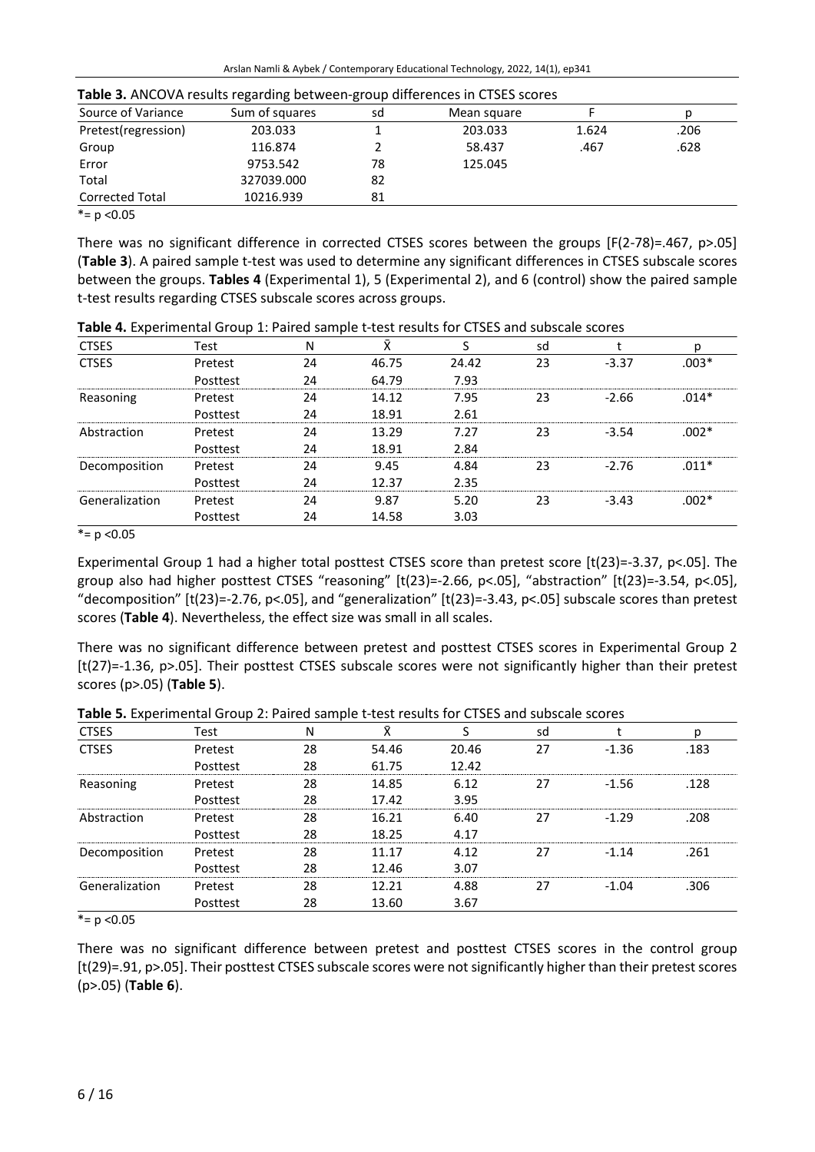| Source of Variance           | Sum of squares | sd | Mean square |       |      |  |  |  |
|------------------------------|----------------|----|-------------|-------|------|--|--|--|
| Pretest(regression)          | 203.033        |    | 203.033     | 1.624 | .206 |  |  |  |
| Group                        | 116.874        |    | 58.437      | .467  | .628 |  |  |  |
| Error                        | 9753.542       | 78 | 125.045     |       |      |  |  |  |
| Total                        | 327039.000     | 82 |             |       |      |  |  |  |
| <b>Corrected Total</b>       | 10216.939      | 81 |             |       |      |  |  |  |
| $-1$<br>$\sim$ $\sim$ $\sim$ |                |    |             |       |      |  |  |  |

 $* = p < 0.05$ 

There was no significant difference in corrected CTSES scores between the groups [F(2-78)=.467, p>.05] (**Table 3**). A paired sample t-test was used to determine any significant differences in CTSES subscale scores between the groups. **Tables 4** (Experimental 1), 5 (Experimental 2), and 6 (control) show the paired sample t-test results regarding CTSES subscale scores across groups.

| <b>CTSES</b>   | Test     | N  | Ŷ     | S     | sd |         | р       |
|----------------|----------|----|-------|-------|----|---------|---------|
| <b>CTSES</b>   | Pretest  | 24 | 46.75 | 24.42 | 23 | $-3.37$ | $.003*$ |
|                | Posttest | 24 | 64.79 | 7.93  |    |         |         |
| Reasoning      | Pretest  | 24 | 14.12 | 7.95  | 23 | $-2.66$ | $.014*$ |
|                | Posttest | 24 | 18.91 | 2.61  |    |         |         |
| Abstraction    | Pretest  | 24 | 13.29 | 7.27  | 23 | $-3.54$ | $.002*$ |
|                | Posttest | 24 | 18.91 | 2.84  |    |         |         |
| Decomposition  | Pretest  | 24 | 9.45  | 4.84  | 23 | $-2.76$ | $.011*$ |
|                | Posttest | 24 | 12.37 | 2.35  |    |         |         |
| Generalization | Pretest  | 24 | 9.87  | 5.20  | 23 | $-3.43$ | $.002*$ |
|                | Posttest | 24 | 14.58 | 3.03  |    |         |         |

**Table 4.** Experimental Group 1: Paired sample t-test results for CTSES and subscale scores

 $* = p < 0.05$ 

Experimental Group 1 had a higher total posttest CTSES score than pretest score [t(23)=-3.37, p<.05]. The group also had higher posttest CTSES "reasoning" [t(23)=-2.66, p<.05], "abstraction" [t(23)=-3.54, p<.05], "decomposition" [t(23)=-2.76, p<.05], and "generalization" [t(23)=-3.43, p<.05] subscale scores than pretest scores (**Table 4**). Nevertheless, the effect size was small in all scales.

There was no significant difference between pretest and posttest CTSES scores in Experimental Group 2 [t(27)=-1.36, p>.05]. Their posttest CTSES subscale scores were not significantly higher than their pretest scores (p>.05) (**Table 5**).

| <b>CTSES</b>   | Test     | N  | v     |       | sd |         | р    |
|----------------|----------|----|-------|-------|----|---------|------|
| <b>CTSES</b>   | Pretest  | 28 | 54.46 | 20.46 | 27 | $-1.36$ | .183 |
|                | Posttest | 28 | 61.75 | 12.42 |    |         |      |
| Reasoning      | Pretest  | 28 | 14.85 | 6.12  | 27 | $-1.56$ | .128 |
|                | Posttest | 28 | 17.42 | 3.95  |    |         |      |
| Abstraction    | Pretest  | 28 | 16.21 | 6.40  | 27 | $-1.29$ | .208 |
|                | Posttest | 28 | 18.25 | 4.17  |    |         |      |
| Decomposition  | Pretest  | 28 | 11.17 | 4.12  | 27 | $-1.14$ | .261 |
|                | Posttest | 28 | 12.46 | 3.07  |    |         |      |
| Generalization | Pretest  | 28 | 12.21 | 4.88  | 27 | $-1.04$ | .306 |
|                | Posttest | 28 | 13.60 | 3.67  |    |         |      |

**Table 5.** Experimental Group 2: Paired sample t-test results for CTSES and subscale scores

 $* = p < 0.05$ 

There was no significant difference between pretest and posttest CTSES scores in the control group [t(29)=.91, p>.05]. Their posttest CTSES subscale scores were not significantly higher than their pretest scores (p>.05) (**Table 6**).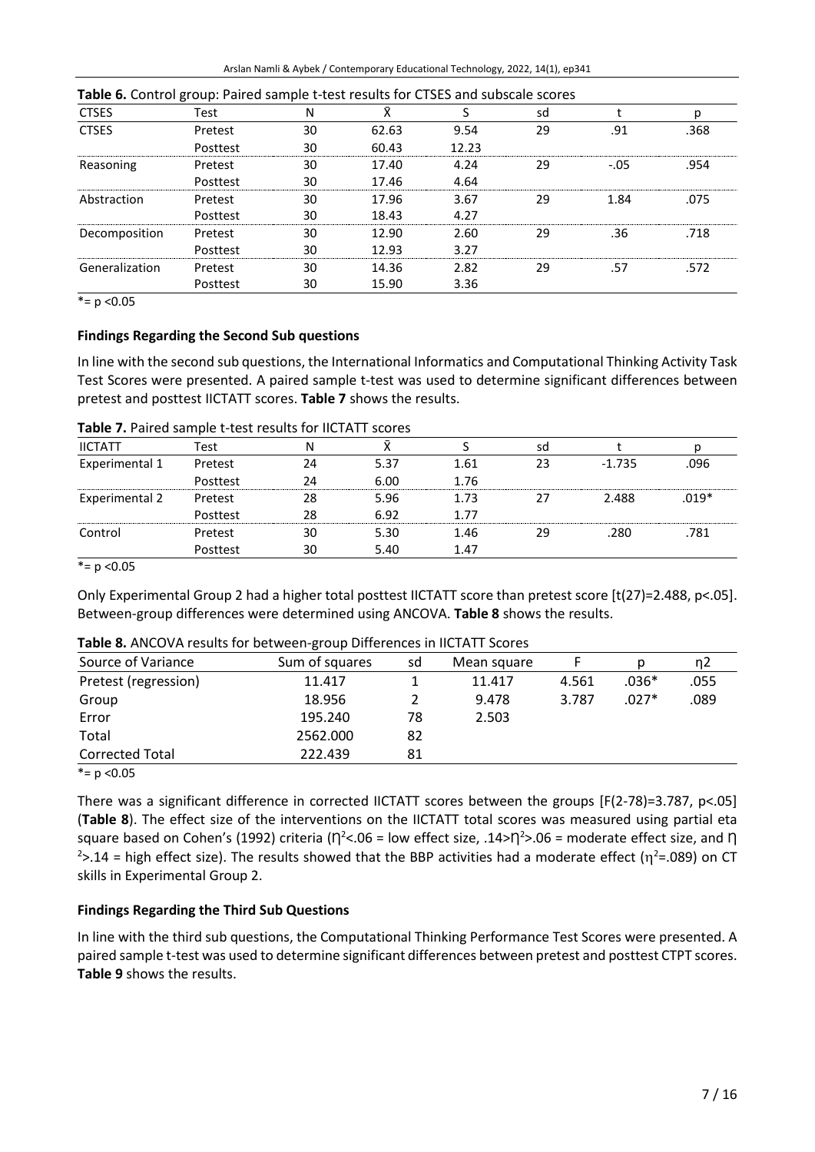| <b>Table 6.</b> Control group: Paired sample t-test results for CTSES and subscale scores |          |    |       |       |    |        |      |
|-------------------------------------------------------------------------------------------|----------|----|-------|-------|----|--------|------|
| <b>CTSES</b>                                                                              | Test     | N  | ⊽     |       | sd |        | р    |
| <b>CTSES</b>                                                                              | Pretest  | 30 | 62.63 | 9.54  | 29 | .91    | .368 |
|                                                                                           | Posttest | 30 | 60.43 | 12.23 |    |        |      |
| Reasoning                                                                                 | Pretest  | 30 | 17.40 | 4.24  | 29 | $-.05$ | .954 |
|                                                                                           | Posttest | 30 | 17.46 | 4.64  |    |        |      |
| Abstraction                                                                               | Pretest  | 30 | 17.96 | 3.67  | 29 | 1.84   | .075 |
|                                                                                           | Posttest | 30 | 18.43 | 4.27  |    |        |      |
| Decomposition                                                                             | Pretest  | 30 | 12.90 | 2.60  | 29 | .36    | .718 |
|                                                                                           | Posttest | 30 | 12.93 | 3.27  |    |        |      |
| Generalization                                                                            | Pretest  | 30 | 14.36 | 2.82  | 29 | .57    | .572 |
|                                                                                           | Posttest | 30 | 15.90 | 3.36  |    |        |      |

 $* = p < 0.05$ 

# **Findings Regarding the Second Sub questions**

In line with the second sub questions, the International Informatics and Computational Thinking Activity Task Test Scores were presented. A paired sample t-test was used to determine significant differences between pretest and posttest IICTATT scores. **Table 7** shows the results.

| <b>IICTATT</b> | Test     | Ν  |      |      | sd |          |         |
|----------------|----------|----|------|------|----|----------|---------|
| Experimental 1 | Pretest  | 24 | 5.37 | 1.61 | 23 | $-1.735$ | .096    |
|                | Posttest | 24 | 6.00 | 1.76 |    |          |         |
| Experimental 2 | Pretest  | 28 | 5.96 | 1.73 | 27 | 2.488    | $.019*$ |
|                | Posttest | 28 | 6.92 | 1.77 |    |          |         |
| Control        | Pretest  | 30 | 5.30 | 1.46 | 29 | .280     | .781    |
|                | Posttest | 30 | 5.40 | 1.47 |    |          |         |

 $* = p < 0.05$ 

Only Experimental Group 2 had a higher total posttest IICTATT score than pretest score [t(27)=2.488, p<.05]. Between-group differences were determined using ANCOVA. **Table 8** shows the results.

| Source of Variance     | Sum of squares | sd | Mean square |       | Ŋ       | ŋ2   |  |
|------------------------|----------------|----|-------------|-------|---------|------|--|
| Pretest (regression)   | 11.417         |    | 11.417      | 4.561 | .036*   | .055 |  |
| Group                  | 18.956         |    | 9.478       | 3.787 | $.027*$ | .089 |  |
| Error                  | 195.240        | 78 | 2.503       |       |         |      |  |
| Total                  | 2562.000       | 82 |             |       |         |      |  |
| <b>Corrected Total</b> | 222.439        | 81 |             |       |         |      |  |
| *= $p$ < 0.05          |                |    |             |       |         |      |  |

There was a significant difference in corrected IICTATT scores between the groups [F(2-78)=3.787, p<.05] (**Table 8**). The effect size of the interventions on the IICTATT total scores was measured using partial eta square based on Cohen's (1992) criteria ( $\eta^2$ <.06 = low effect size, .14> $\eta^2$ >.06 = moderate effect size, and  $\eta$  $2$ >.14 = high effect size). The results showed that the BBP activities had a moderate effect ( $\eta^2$ =.089) on CT skills in Experimental Group 2.

# **Findings Regarding the Third Sub Questions**

In line with the third sub questions, the Computational Thinking Performance Test Scores were presented. A paired sample t-test was used to determine significant differences between pretest and posttest CTPT scores. **Table 9** shows the results.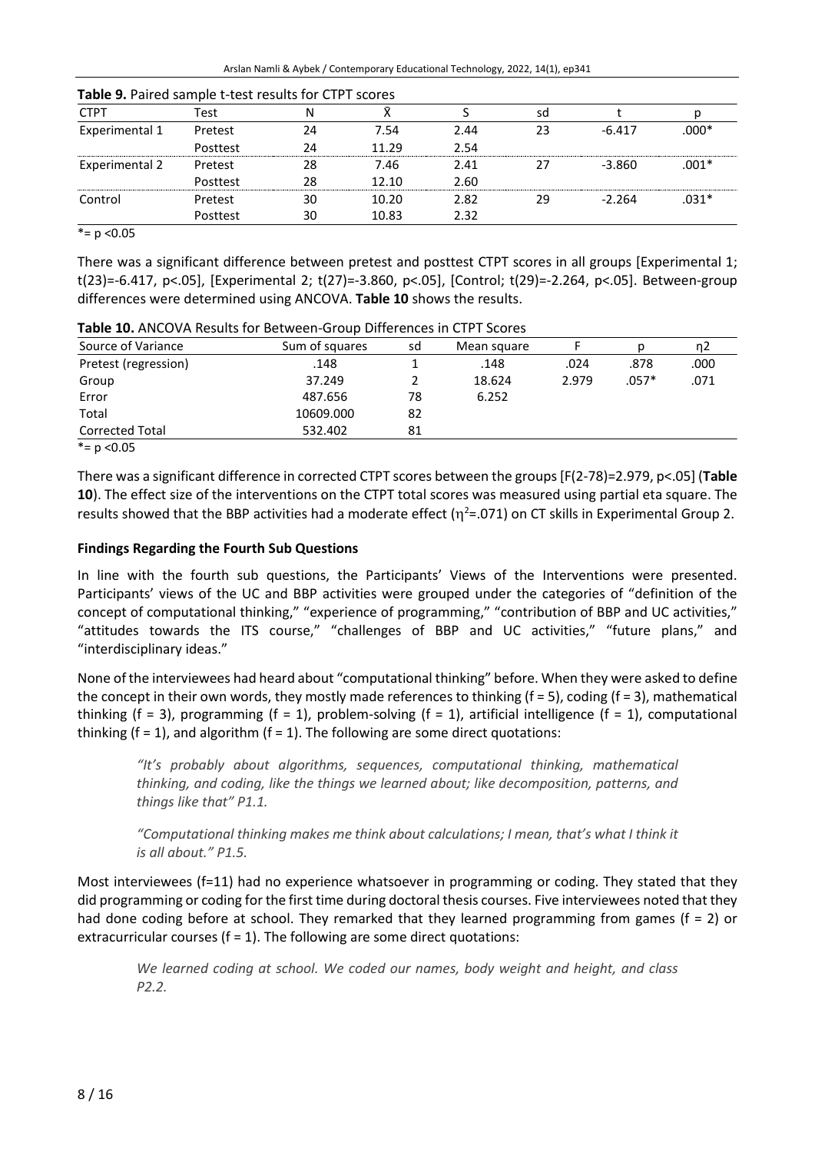| <b>CTPT</b>    | Test     | N  |       |      | sd |          |         |
|----------------|----------|----|-------|------|----|----------|---------|
| Experimental 1 | Pretest  | 24 | 7.54  | 2.44 | 23 | $-6.417$ | $.000*$ |
|                | Posttest | 24 | 11.29 | 2.54 |    |          |         |
| Experimental 2 | Pretest  | 28 | 7.46  | 2.41 | 27 | $-3.860$ | $.001*$ |
|                | Posttest | 28 | 12.10 | 2.60 |    |          |         |
| Control        | Pretest  | 30 | 10.20 | 2.82 | 29 | $-2.264$ | $.031*$ |
|                | Posttest | 30 | 10.83 | 2.32 |    |          |         |

| Table 9. Paired sample t-test results for CTPT scores |  |  |  |  |
|-------------------------------------------------------|--|--|--|--|
|-------------------------------------------------------|--|--|--|--|

 $* = p < 0.05$ 

There was a significant difference between pretest and posttest CTPT scores in all groups [Experimental 1; t(23)=-6.417, p<.05], [Experimental 2; t(27)=-3.860, p<.05], [Control; t(29)=-2.264, p<.05]. Between-group differences were determined using ANCOVA. **Table 10** shows the results.

| Source of Variance     | Sum of squares | sd | Mean square |       |         | n2   |  |
|------------------------|----------------|----|-------------|-------|---------|------|--|
| Pretest (regression)   | .148           |    | .148        | .024  | .878    | .000 |  |
| Group                  | 37.249         |    | 18.624      | 2.979 | $.057*$ | .071 |  |
| Error                  | 487.656        | 78 | 6.252       |       |         |      |  |
| Total                  | 10609.000      | 82 |             |       |         |      |  |
| <b>Corrected Total</b> | 532.402        | 81 |             |       |         |      |  |
| *= $p$ < 0.05          |                |    |             |       |         |      |  |

**Table 10.** ANCOVA Results for Between-Group Differences in CTPT Scores

There was a significant difference in corrected CTPT scores between the groups[F(2-78)=2.979, p<.05] (**Table 10**). The effect size of the interventions on the CTPT total scores was measured using partial eta square. The results showed that the BBP activities had a moderate effect ( $\eta^2$ =.071) on CT skills in Experimental Group 2.

# **Findings Regarding the Fourth Sub Questions**

In line with the fourth sub questions, the Participants' Views of the Interventions were presented. Participants' views of the UC and BBP activities were grouped under the categories of "definition of the concept of computational thinking," "experience of programming," "contribution of BBP and UC activities," "attitudes towards the ITS course," "challenges of BBP and UC activities," "future plans," and "interdisciplinary ideas."

None of the interviewees had heard about "computational thinking" before. When they were asked to define the concept in their own words, they mostly made references to thinking  $(f = 5)$ , coding  $(f = 3)$ , mathematical thinking (f = 3), programming (f = 1), problem-solving (f = 1), artificial intelligence (f = 1), computational thinking  $(f = 1)$ , and algorithm  $(f = 1)$ . The following are some direct quotations:

*"It's probably about algorithms, sequences, computational thinking, mathematical thinking, and coding, like the things we learned about; like decomposition, patterns, and things like that" P1.1.*

*"Computational thinking makes me think about calculations; I mean, that's what I think it is all about." P1.5.*

Most interviewees (f=11) had no experience whatsoever in programming or coding. They stated that they did programming or coding for the first time during doctoral thesis courses. Five interviewees noted that they had done coding before at school. They remarked that they learned programming from games (f = 2) or extracurricular courses ( $f = 1$ ). The following are some direct quotations:

*We learned coding at school. We coded our names, body weight and height, and class P2.2.*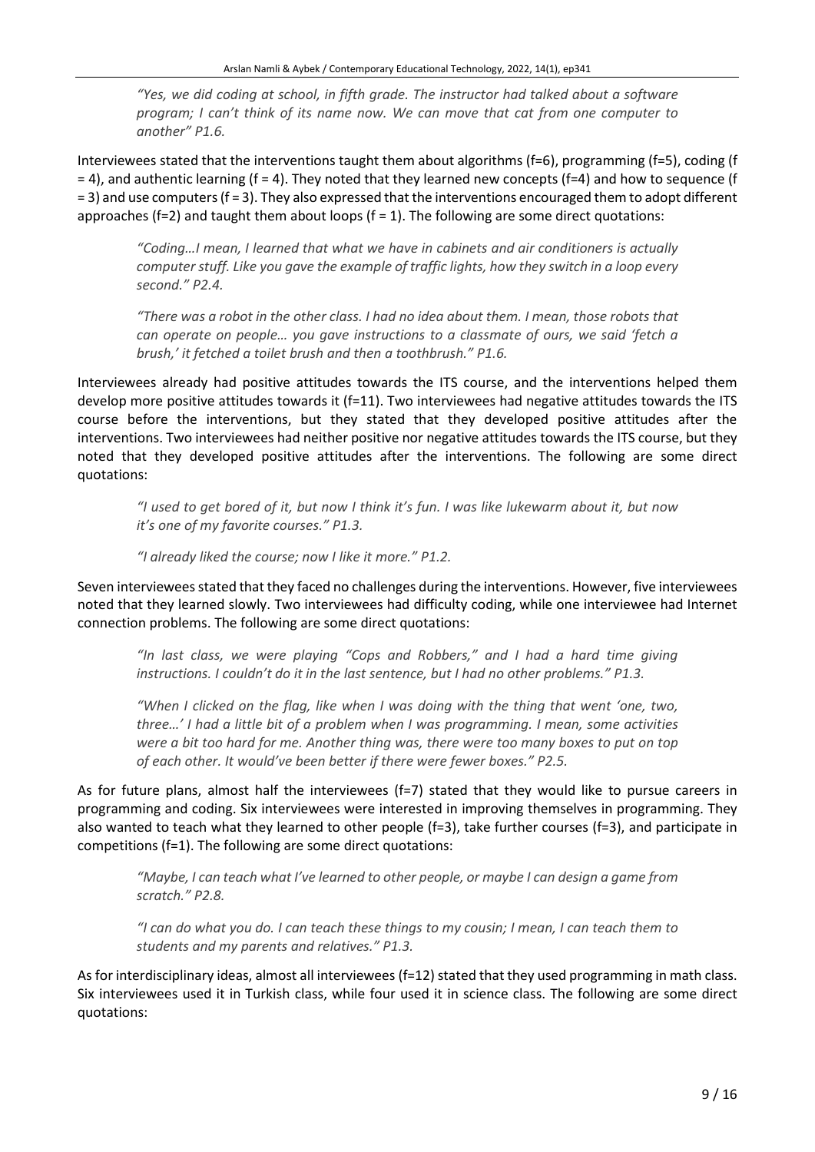*"Yes, we did coding at school, in fifth grade. The instructor had talked about a software program; I can't think of its name now. We can move that cat from one computer to another" P1.6.*

Interviewees stated that the interventions taught them about algorithms (f=6), programming (f=5), coding (f  $=$  4), and authentic learning (f = 4). They noted that they learned new concepts (f=4) and how to sequence (f = 3) and use computers (f = 3). They also expressed that the interventions encouraged them to adopt different approaches ( $f=2$ ) and taught them about loops ( $f=1$ ). The following are some direct quotations:

*"Coding…I mean, I learned that what we have in cabinets and air conditioners is actually computerstuff. Like you gave the example of traffic lights, how they switch in a loop every second." P2.4.*

"There was a robot in the other class. I had no idea about them. I mean, those robots that *can operate on people… you gave instructions to a classmate of ours, we said 'fetch a brush,' it fetched a toilet brush and then a toothbrush." P1.6.*

Interviewees already had positive attitudes towards the ITS course, and the interventions helped them develop more positive attitudes towards it  $(f=11)$ . Two interviewees had negative attitudes towards the ITS course before the interventions, but they stated that they developed positive attitudes after the interventions. Two interviewees had neither positive nor negative attitudes towards the ITS course, but they noted that they developed positive attitudes after the interventions. The following are some direct quotations:

"I used to get bored of it, but now I think it's fun. I was like lukewarm about it, but now *it's one of my favorite courses." P1.3.*

*"I already liked the course; now I like it more." P1.2.*

Seven intervieweesstated that they faced no challenges during the interventions. However, five interviewees noted that they learned slowly. Two interviewees had difficulty coding, while one interviewee had Internet connection problems. The following are some direct quotations:

*"In last class, we were playing "Cops and Robbers," and I had a hard time giving instructions. I couldn't do it in the last sentence, but I had no other problems." P1.3.*

"When I clicked on the flag, like when I was doing with the thing that went 'one, two, *three…' I had a little bit of a problem when I was programming. I mean, some activities were a bit too hard for me. Another thing was, there were too many boxes to put on top of each other. It would've been better if there were fewer boxes." P2.5.*

As for future plans, almost half the interviewees (f=7) stated that they would like to pursue careers in programming and coding. Six interviewees were interested in improving themselves in programming. They also wanted to teach what they learned to other people (f=3), take further courses (f=3), and participate in competitions (f=1). The following are some direct quotations:

"Maybe, I can teach what I've learned to other people, or maybe I can design a game from *scratch." P2.8.*

"I can do what you do. I can teach these things to my cousin; I mean, I can teach them to *students and my parents and relatives." P1.3.*

As for interdisciplinary ideas, almost all interviewees (f=12) stated that they used programming in math class. Six interviewees used it in Turkish class, while four used it in science class. The following are some direct quotations: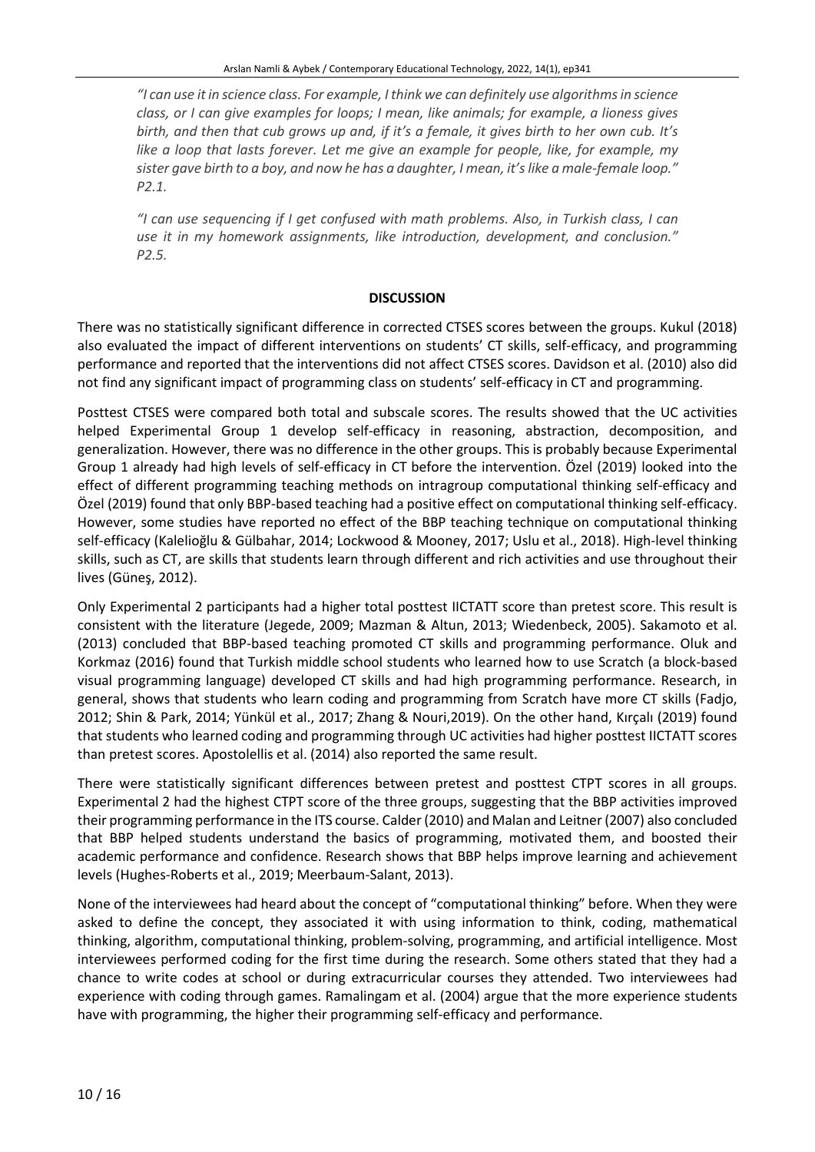*"I can use itin science class. For example, I think we can definitely use algorithmsin science class, or I can give examples for loops; I mean, like animals; for example, a lioness gives* birth, and then that cub grows up and, if it's a female, it gives birth to her own cub. It's *like a loop that lasts forever. Let me give an example for people, like, for example, my* sister gave birth to a boy, and now he has a daughter, I mean, it's like a male-female loop." *P2.1.*

*"I can use sequencing if I get confused with math problems. Also, in Turkish class, I can use it in my homework assignments, like introduction, development, and conclusion." P2.5.*

# **DISCUSSION**

There was no statistically significant difference in corrected CTSES scores between the groups. Kukul (2018) also evaluated the impact of different interventions on students' CT skills, self-efficacy, and programming performance and reported that the interventions did not affect CTSES scores. Davidson et al. (2010) also did not find any significant impact of programming class on students' self-efficacy in CT and programming.

Posttest CTSES were compared both total and subscale scores. The results showed that the UC activities helped Experimental Group 1 develop self-efficacy in reasoning, abstraction, decomposition, and generalization. However, there was no difference in the other groups. This is probably because Experimental Group 1 already had high levels of self-efficacy in CT before the intervention. Özel (2019) looked into the effect of different programming teaching methods on intragroup computational thinking self-efficacy and Özel (2019) found that only BBP-based teaching had a positive effect on computational thinking self-efficacy. However, some studies have reported no effect of the BBP teaching technique on computational thinking self-efficacy (Kalelioğlu & Gülbahar, 2014; Lockwood & Mooney, 2017; Uslu et al., 2018). High-level thinking skills, such as CT, are skills that students learn through different and rich activities and use throughout their lives (Güneş, 2012).

Only Experimental 2 participants had a higher total posttest IICTATT score than pretest score. This result is consistent with the literature (Jegede, 2009; Mazman & Altun, 2013; Wiedenbeck, 2005). Sakamoto et al. (2013) concluded that BBP-based teaching promoted CT skills and programming performance. Oluk and Korkmaz (2016) found that Turkish middle school students who learned how to use Scratch (a block-based visual programming language) developed CT skills and had high programming performance. Research, in general, shows that students who learn coding and programming from Scratch have more CT skills (Fadjo, 2012; Shin & Park, 2014; Yünkül et al., 2017; Zhang & Nouri,2019). On the other hand, Kırçalı (2019) found that students who learned coding and programming through UC activities had higher posttest IICTATT scores than pretest scores. Apostolellis et al. (2014) also reported the same result.

There were statistically significant differences between pretest and posttest CTPT scores in all groups. Experimental 2 had the highest CTPT score of the three groups, suggesting that the BBP activities improved their programming performance in the ITS course. Calder (2010) and Malan and Leitner (2007) also concluded that BBP helped students understand the basics of programming, motivated them, and boosted their academic performance and confidence. Research shows that BBP helps improve learning and achievement levels (Hughes-Roberts et al., 2019; Meerbaum-Salant, 2013).

None of the interviewees had heard about the concept of "computational thinking" before. When they were asked to define the concept, they associated it with using information to think, coding, mathematical thinking, algorithm, computational thinking, problem-solving, programming, and artificial intelligence. Most interviewees performed coding for the first time during the research. Some others stated that they had a chance to write codes at school or during extracurricular courses they attended. Two interviewees had experience with coding through games. Ramalingam et al. (2004) argue that the more experience students have with programming, the higher their programming self-efficacy and performance.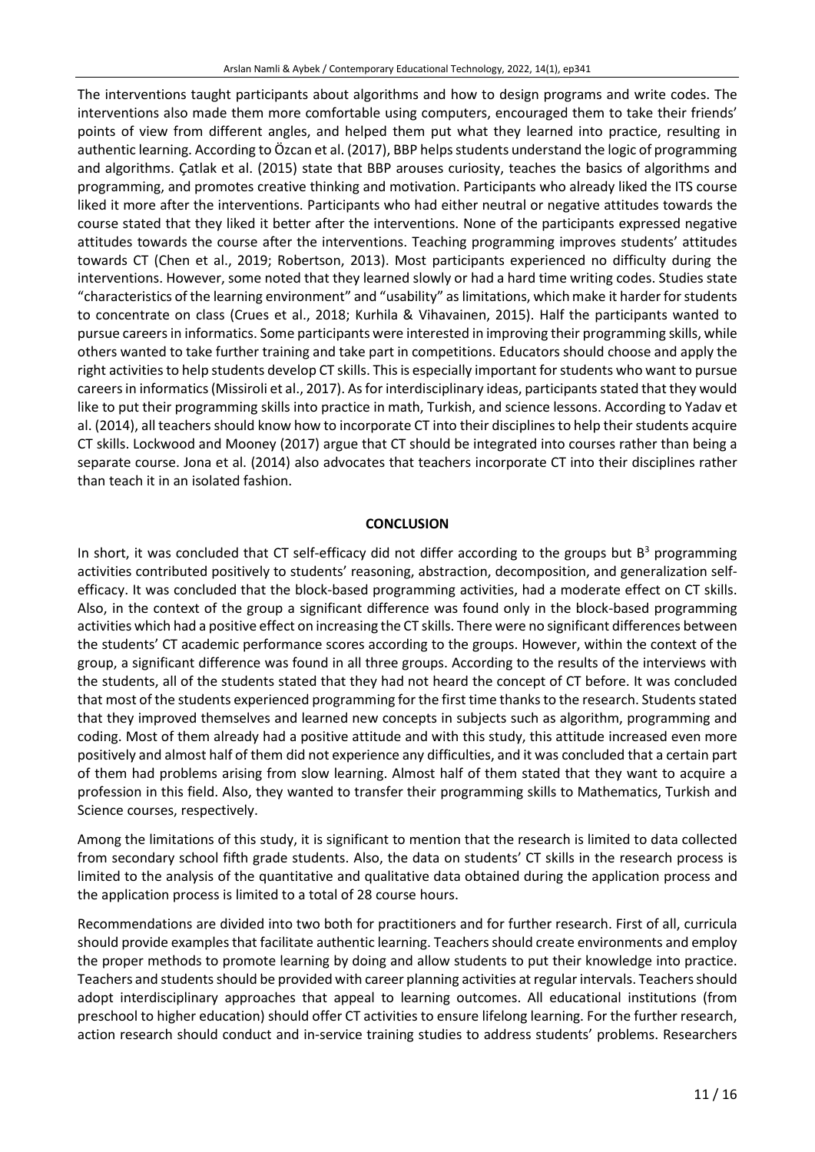The interventions taught participants about algorithms and how to design programs and write codes. The interventions also made them more comfortable using computers, encouraged them to take their friends' points of view from different angles, and helped them put what they learned into practice, resulting in authentic learning. According to Özcan et al. (2017), BBP helps students understand the logic of programming and algorithms. Çatlak et al. (2015) state that BBP arouses curiosity, teaches the basics of algorithms and programming, and promotes creative thinking and motivation. Participants who already liked the ITS course liked it more after the interventions. Participants who had either neutral or negative attitudes towards the course stated that they liked it better after the interventions. None of the participants expressed negative attitudes towards the course after the interventions. Teaching programming improves students' attitudes towards CT (Chen et al., 2019; Robertson, 2013). Most participants experienced no difficulty during the interventions. However, some noted that they learned slowly or had a hard time writing codes. Studies state "characteristics of the learning environment" and "usability" as limitations, which make it harder for students to concentrate on class (Crues et al., 2018; Kurhila & Vihavainen, 2015). Half the participants wanted to pursue careersin informatics. Some participants were interested in improving their programming skills, while others wanted to take further training and take part in competitions. Educators should choose and apply the right activities to help students develop CT skills. This is especially important for students who want to pursue careers in informatics (Missiroli et al., 2017). As for interdisciplinary ideas, participants stated that they would like to put their programming skills into practice in math, Turkish, and science lessons. According to Yadav et al. (2014), all teachers should know how to incorporate CT into their disciplines to help their students acquire CT skills. Lockwood and Mooney (2017) argue that CT should be integrated into courses rather than being a separate course. Jona et al. (2014) also advocates that teachers incorporate CT into their disciplines rather than teach it in an isolated fashion.

# **CONCLUSION**

In short, it was concluded that CT self-efficacy did not differ according to the groups but  $B^3$  programming activities contributed positively to students' reasoning, abstraction, decomposition, and generalization selfefficacy. It was concluded that the block-based programming activities, had a moderate effect on CT skills. Also, in the context of the group a significant difference was found only in the block-based programming activities which had a positive effect on increasing the CT skills. There were no significant differences between the students' CT academic performance scores according to the groups. However, within the context of the group, a significant difference was found in all three groups. According to the results of the interviews with the students, all of the students stated that they had not heard the concept of CT before. It was concluded that most of the students experienced programming for the first time thanks to the research. Students stated that they improved themselves and learned new concepts in subjects such as algorithm, programming and coding. Most of them already had a positive attitude and with this study, this attitude increased even more positively and almost half of them did not experience any difficulties, and it was concluded that a certain part of them had problems arising from slow learning. Almost half of them stated that they want to acquire a profession in this field. Also, they wanted to transfer their programming skills to Mathematics, Turkish and Science courses, respectively.

Among the limitations of this study, it is significant to mention that the research is limited to data collected from secondary school fifth grade students. Also, the data on students' CT skills in the research process is limited to the analysis of the quantitative and qualitative data obtained during the application process and the application process is limited to a total of 28 course hours.

Recommendations are divided into two both for practitioners and for further research. First of all, curricula should provide examples that facilitate authentic learning. Teachers should create environments and employ the proper methods to promote learning by doing and allow students to put their knowledge into practice. Teachers and students should be provided with career planning activities at regular intervals. Teachers should adopt interdisciplinary approaches that appeal to learning outcomes. All educational institutions (from preschool to higher education) should offer CT activities to ensure lifelong learning. For the further research, action research should conduct and in-service training studies to address students' problems. Researchers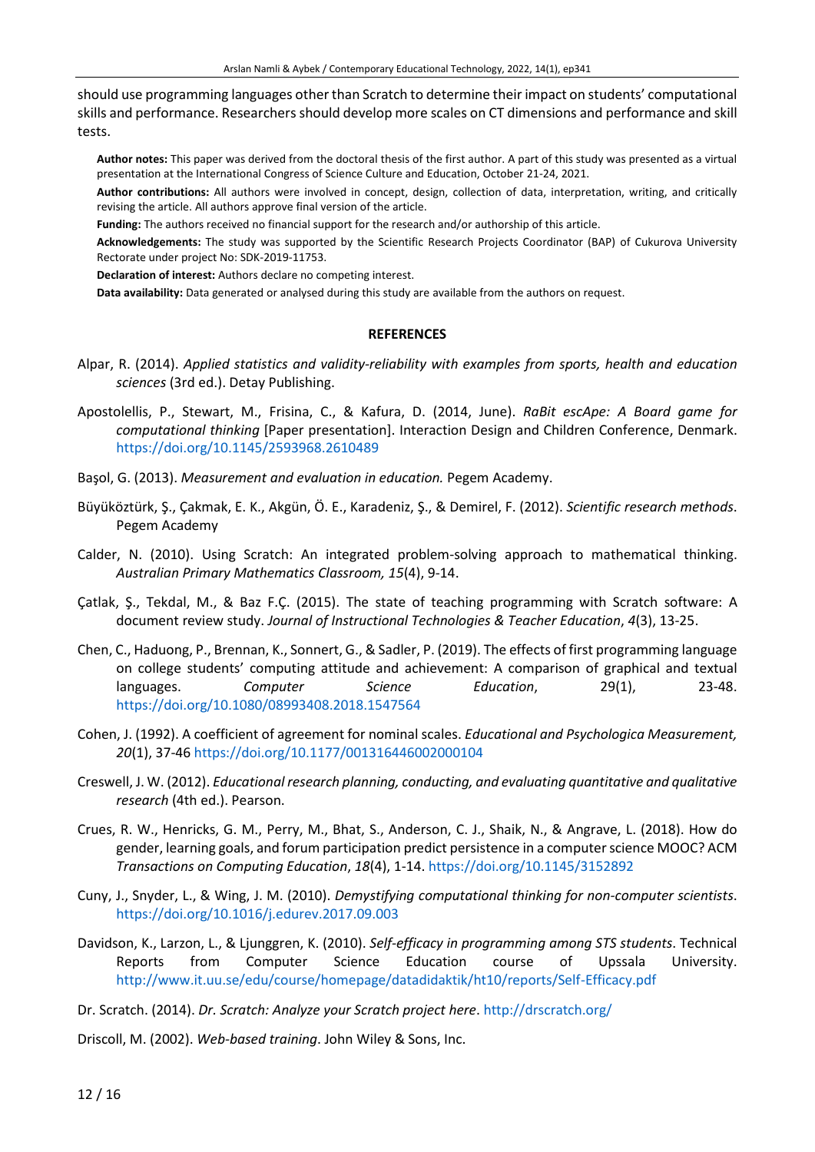should use programming languages other than Scratch to determine their impact on students' computational skills and performance. Researchers should develop more scales on CT dimensions and performance and skill tests.

**Author notes:** This paper was derived from the doctoral thesis of the first author. A part of this study was presented as a virtual presentation at the International Congress of Science Culture and Education, October 21-24, 2021.

**Author contributions:** All authors were involved in concept, design, collection of data, interpretation, writing, and critically revising the article. All authors approve final version of the article.

**Funding:** The authors received no financial support for the research and/or authorship of this article.

**Acknowledgements:** The study was supported by the Scientific Research Projects Coordinator (BAP) of Cukurova University Rectorate under project No: SDK-2019-11753.

**Declaration of interest:** Authors declare no competing interest.

**Data availability:** Data generated or analysed during this study are available from the authors on request.

#### **REFERENCES**

- Alpar, R. (2014). *Applied statistics and validity-reliability with examples from sports, health and education sciences* (3rd ed.). Detay Publishing.
- Apostolellis, P., Stewart, M., Frisina, C., & Kafura, D. (2014, June). *RaBit escApe: A Board game for computational thinking* [Paper presentation]. Interaction Design and Children Conference, Denmark. <https://doi.org/10.1145/2593968.2610489>
- Başol, G. (2013). *Measurement and evaluation in education.* Pegem Academy.
- Büyüköztürk, Ş., Çakmak, E. K., Akgün, Ö. E., Karadeniz, Ş., & Demirel, F. (2012). *Scientific research methods*. Pegem Academy
- Calder, N. (2010). Using Scratch: An integrated problem-solving approach to mathematical thinking. *Australian Primary Mathematics Classroom, 15*(4), 9-14.
- Çatlak, Ş., Tekdal, M., & Baz F.Ç. (2015). The state of teaching programming with Scratch software: A document review study. *Journal of Instructional Technologies & Teacher Education*, *4*(3), 13-25.
- Chen, C., Haduong, P., Brennan, K., Sonnert, G., & Sadler, P. (2019). The effects of first programming language on college students' computing attitude and achievement: A comparison of graphical and textual languages. *Computer Science Education*, 29(1), 23-48. <https://doi.org/10.1080/08993408.2018.1547564>
- Cohen, J. (1992). A coefficient of agreement for nominal scales. *Educational and Psychologica Measurement, 20*(1), 37-46 [https://doi.org/10.1177/001316446002000104](https://doi.org/10.1177%2F001316446002000104)
- Creswell, J. W. (2012). *Educational research planning, conducting, and evaluating quantitative and qualitative research* (4th ed.). Pearson.
- Crues, R. W., Henricks, G. M., Perry, M., Bhat, S., Anderson, C. J., Shaik, N., & Angrave, L. (2018). How do gender, learning goals, and forum participation predict persistence in a computerscience MOOC? ACM *Transactions on Computing Education*, *18*(4), 1-14. <https://doi.org/10.1145/3152892>
- Cuny, J., Snyder, L., & Wing, J. M. (2010). *Demystifying computational thinking for non-computer scientists*. <https://doi.org/10.1016/j.edurev.2017.09.003>
- Davidson, K., Larzon, L., & Ljunggren, K. (2010). *Self-efficacy in programming among STS students*. Technical Reports from Computer Science Education course of Upssala University. <http://www.it.uu.se/edu/course/homepage/datadidaktik/ht10/reports/Self-Efficacy.pdf>
- Dr. Scratch. (2014). *Dr. Scratch: Analyze your Scratch project here*. <http://drscratch.org/>
- Driscoll, M. (2002). *Web-based training*. John Wiley & Sons, Inc.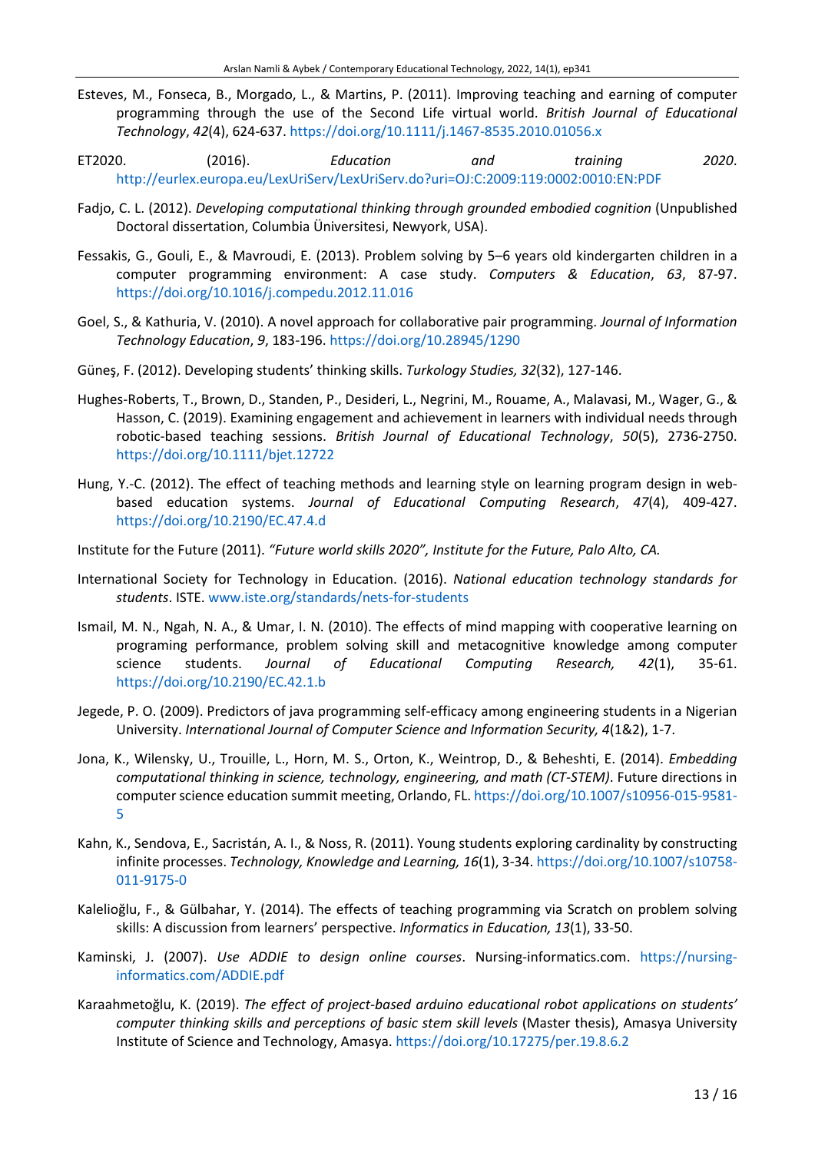- Esteves, M., Fonseca, B., Morgado, L., & Martins, P. (2011). Improving teaching and earning of computer programming through the use of the Second Life virtual world. *British Journal of Educational Technology*, *42*(4), 624-637. <https://doi.org/10.1111/j.1467-8535.2010.01056.x>
- ET2020. (2016). *Education and training 2020*. <http://eurlex.europa.eu/LexUriServ/LexUriServ.do?uri=OJ:C:2009:119:0002:0010:EN:PDF>
- Fadjo, C. L. (2012). *Developing computational thinking through grounded embodied cognition* (Unpublished Doctoral dissertation, Columbia Üniversitesi, Newyork, USA).
- Fessakis, G., Gouli, E., & Mavroudi, E. (2013). Problem solving by 5–6 years old kindergarten children in a computer programming environment: A case study. *Computers & Education*, *63*, 87-97. <https://doi.org/10.1016/j.compedu.2012.11.016>
- Goel, S., & Kathuria, V. (2010). A novel approach for collaborative pair programming. *Journal of Information Technology Education*, *9*, 183-196. <https://doi.org/10.28945/1290>
- Güneş, F. (2012). Developing students' thinking skills. *Turkology Studies, 32*(32), 127-146.
- Hughes-Roberts, T., Brown, D., Standen, P., Desideri, L., Negrini, M., Rouame, A., Malavasi, M., Wager, G., & Hasson, C. (2019). Examining engagement and achievement in learners with individual needs through robotic‐based teaching sessions. *British Journal of Educational Technology*, *50*(5), 2736-2750. <https://doi.org/10.1111/bjet.12722>
- Hung, Y.-C. (2012). The effect of teaching methods and learning style on learning program design in webbased education systems. *Journal of Educational Computing Research*, *47*(4), 409-427. <https://doi.org/10.2190/EC.47.4.d>
- Institute for the Future (2011). *"Future world skills 2020", Institute for the Future, Palo Alto, CA.*
- International Society for Technology in Education. (2016). *National education technology standards for students*. ISTE. [www.iste.org/standards/nets-for-students](http://www.iste.org/standards/nets-for-students)
- Ismail, M. N., Ngah, N. A., & Umar, I. N. (2010). The effects of mind mapping with cooperative learning on programing performance, problem solving skill and metacognitive knowledge among computer science students. *Journal of Educational Computing Research, 42*(1), 35-61. [https://doi.org/10.2190/EC.42.1.b](https://doi.org/10.2190%2FEC.42.1.b)
- Jegede, P. O. (2009). Predictors of java programming self-efficacy among engineering students in a Nigerian University. *International Journal of Computer Science and Information Security, 4*(1&2), 1-7.
- Jona, K., Wilensky, U., Trouille, L., Horn, M. S., Orton, K., Weintrop, D., & Beheshti, E. (2014). *Embedding computational thinking in science, technology, engineering, and math (CT-STEM)*. Future directions in computer science education summit meeting, Orlando, FL. [https://doi.org/10.1007/s10956-015-9581-](https://doi.org/10.1007/s10956-015-9581-5) [5](https://doi.org/10.1007/s10956-015-9581-5)
- Kahn, K., Sendova, E., Sacristán, A. I., & Noss, R. (2011). Young students exploring cardinality by constructing infinite processes. *Technology, Knowledge and Learning, 16*(1), 3-34. [https://doi.org/10.1007/s10758-](https://doi.org/10.1007/s10758-011-9175-0) [011-9175-0](https://doi.org/10.1007/s10758-011-9175-0)
- Kalelioğlu, F., & Gülbahar, Y. (2014). The effects of teaching programming via Scratch on problem solving skills: A discussion from learners' perspective. *Informatics in Education, 13*(1), 33-50.
- Kaminski, J. (2007). *Use ADDIE to design online courses*. Nursing-informatics.com. [https://nursing](https://nursing-informatics.com/ADDIE.pdf)[informatics.com/ADDIE.pdf](https://nursing-informatics.com/ADDIE.pdf)
- Karaahmetoğlu, K. (2019). *The effect of project-based arduino educational robot applications on students' computer thinking skills and perceptions of basic stem skill levels* (Master thesis), Amasya University Institute of Science and Technology, Amasya. <https://doi.org/10.17275/per.19.8.6.2>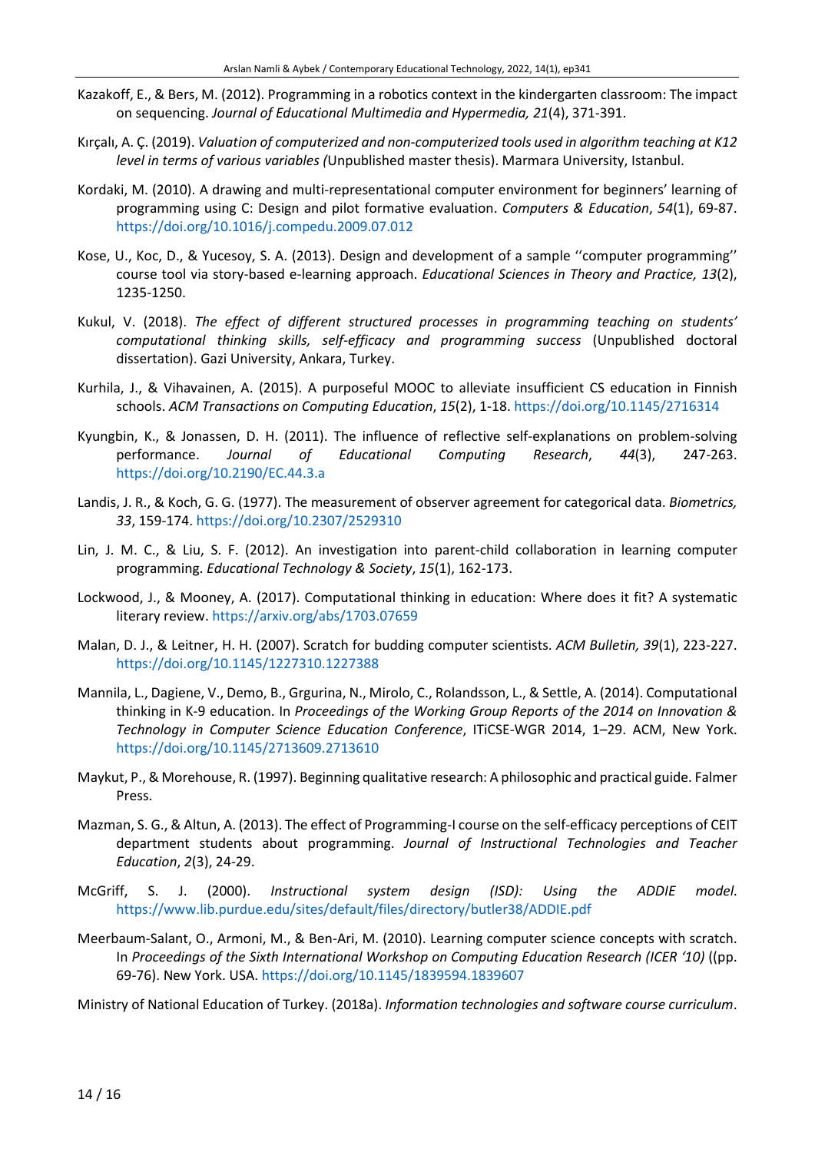- Kazakoff, E., & Bers, M. (2012). Programming in a robotics context in the kindergarten classroom: The impact on sequencing. *Journal of Educational Multimedia and Hypermedia, 21*(4), 371-391.
- Kırçalı, A. Ç. (2019). *Valuation of computerized and non-computerized tools used in algorithm teaching at K12 level in terms of various variables (*Unpublished master thesis). Marmara University, Istanbul.
- Kordaki, M. (2010). A drawing and multi-representational computer environment for beginners' learning of programming using C: Design and pilot formative evaluation. *Computers & Education*, *54*(1), 69-87. <https://doi.org/10.1016/j.compedu.2009.07.012>
- Kose, U., Koc, D., & Yucesoy, S. A. (2013). Design and development of a sample ''computer programming'' course tool via story-based e-learning approach. *Educational Sciences in Theory and Practice, 13*(2), 1235-1250.
- Kukul, V. (2018). *The effect of different structured processes in programming teaching on students' computational thinking skills, self-efficacy and programming success* (Unpublished doctoral dissertation). Gazi University, Ankara, Turkey.
- Kurhila, J., & Vihavainen, A. (2015). A purposeful MOOC to alleviate insufficient CS education in Finnish schools. *ACM Transactions on Computing Education*, *15*(2), 1-18. <https://doi.org/10.1145/2716314>
- Kyungbin, K., & Jonassen, D. H. (2011). The influence of reflective self-explanations on problem-solving performance. *Journal of Educational Computing Research*, *44*(3), 247-263. [https://doi.org/10.2190/EC.44.3.a](https://doi.org/10.2190%2FEC.44.3.a)
- Landis, J. R., & Koch, G. G. (1977). The measurement of observer agreement for categorical data. *Biometrics, 33*, 159-174. <https://doi.org/10.2307/2529310>
- Lin, J. M. C., & Liu, S. F. (2012). An investigation into parent-child collaboration in learning computer programming. *Educational Technology & Society*, *15*(1), 162-173.
- Lockwood, J., & Mooney, A. (2017). Computational thinking in education: Where does it fit? A systematic literary review. <https://arxiv.org/abs/1703.07659>
- Malan, D. J., & Leitner, H. H. (2007). Scratch for budding computer scientists. *ACM Bulletin, 39*(1), 223-227. <https://doi.org/10.1145/1227310.1227388>
- Mannila, L., Dagiene, V., Demo, B., Grgurina, N., Mirolo, C., Rolandsson, L., & Settle, A. (2014). Computational thinking in K-9 education. In *Proceedings of the Working Group Reports of the 2014 on Innovation & Technology in Computer Science Education Conference*, ITiCSE-WGR 2014, 1–29. ACM, New York. <https://doi.org/10.1145/2713609.2713610>
- Maykut, P.,& Morehouse, R. (1997). Beginning qualitative research: A philosophic and practical guide. Falmer Press.
- Mazman, S. G., & Altun, A. (2013). The effect of Programming-I course on the self-efficacy perceptions of CEIT department students about programming. *Journal of Instructional Technologies and Teacher Education*, *2*(3), 24-29.
- McGriff, S. J. (2000). *Instructional system design (ISD): Using the ADDIE model*. <https://www.lib.purdue.edu/sites/default/files/directory/butler38/ADDIE.pdf>
- Meerbaum-Salant, O., Armoni, M., & Ben-Ari, M. (2010). Learning computer science concepts with scratch. In *Proceedings of the Sixth International Workshop on Computing Education Research (ICER '10)* ((pp. 69-76). New York. USA. <https://doi.org/10.1145/1839594.1839607>

Ministry of National Education of Turkey. (2018a). *Information technologies and software course curriculum*.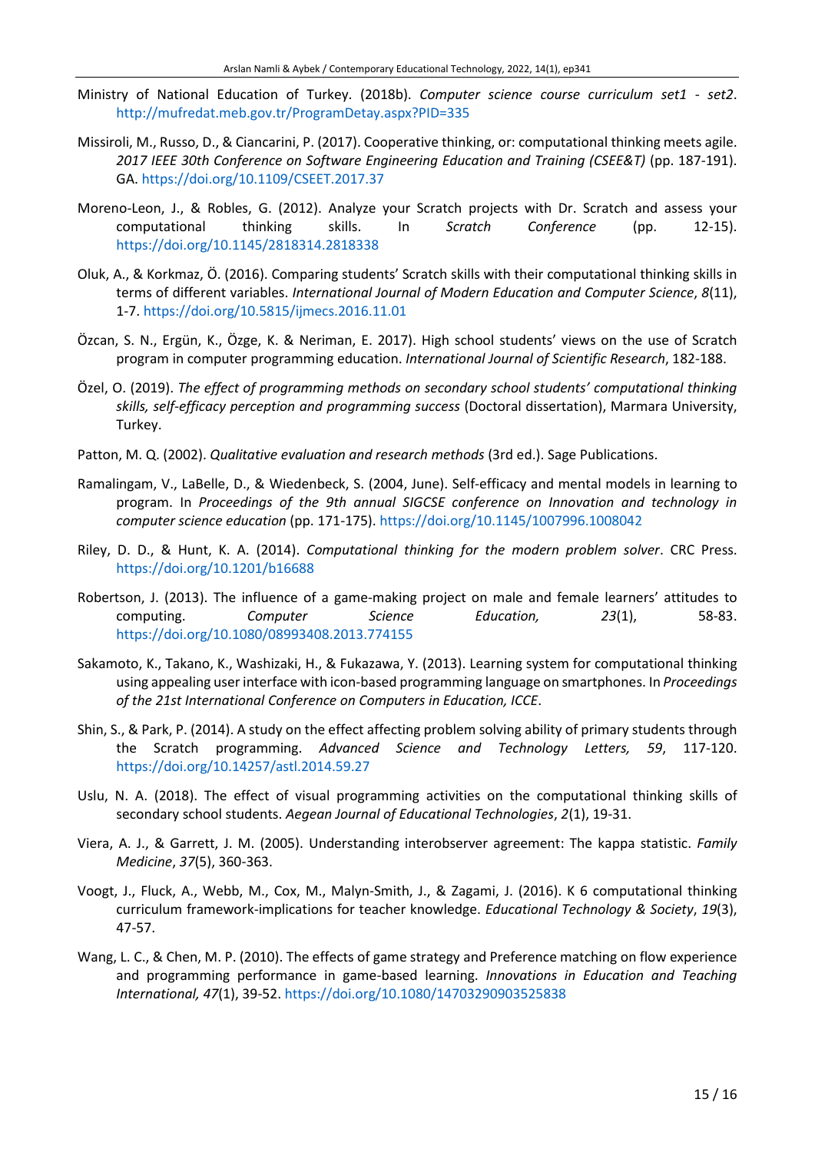- Ministry of National Education of Turkey. (2018b). *Computer science course curriculum set1 - set2*. <http://mufredat.meb.gov.tr/ProgramDetay.aspx?PID=335>
- Missiroli, M., Russo, D., & Ciancarini, P. (2017). Cooperative thinking, or: computational thinking meets agile. *2017 IEEE 30th Conference on Software Engineering Education and Training (CSEE&T)* (pp. 187-191). GA. <https://doi.org/10.1109/CSEET.2017.37>
- Moreno-Leon, J., & Robles, G. (2012). Analyze your Scratch projects with Dr. Scratch and assess your computational thinking skills. In *Scratch Conference* (pp. 12-15). <https://doi.org/10.1145/2818314.2818338>
- Oluk, A., & Korkmaz, Ö. (2016). Comparing students' Scratch skills with their computational thinking skills in terms of different variables. *International Journal of Modern Education and Computer Science*, *8*(11), 1-7. <https://doi.org/10.5815/ijmecs.2016.11.01>
- Özcan, S. N., Ergün, K., Özge, K. & Neriman, E. 2017). High school students' views on the use of Scratch program in computer programming education. *International Journal of Scientific Research*, 182-188.
- Özel, O. (2019). *The effect of programming methods on secondary school students' computational thinking skills, self-efficacy perception and programming success* (Doctoral dissertation), Marmara University, Turkey.
- Patton, M. Q. (2002). *Qualitative evaluation and research methods* (3rd ed.). Sage Publications.
- Ramalingam, V., LaBelle, D., & Wiedenbeck, S. (2004, June). Self-efficacy and mental models in learning to program. In *Proceedings of the 9th annual SIGCSE conference on Innovation and technology in computer science education* (pp. 171-175). <https://doi.org/10.1145/1007996.1008042>
- Riley, D. D., & Hunt, K. A. (2014). *Computational thinking for the modern problem solver*. CRC Press. <https://doi.org/10.1201/b16688>
- Robertson, J. (2013). The influence of a game-making project on male and female learners' attitudes to computing. *Computer Science Education, 23*(1), 58-83. <https://doi.org/10.1080/08993408.2013.774155>
- Sakamoto, K., Takano, K., Washizaki, H., & Fukazawa, Y. (2013). Learning system for computational thinking using appealing user interface with icon-based programming language on smartphones. In *Proceedings of the 21st International Conference on Computers in Education, ICCE*.
- Shin, S., & Park, P. (2014). A study on the effect affecting problem solving ability of primary students through the Scratch programming. *Advanced Science and Technology Letters, 59*, 117-120. <https://doi.org/10.14257/astl.2014.59.27>
- Uslu, N. A. (2018). The effect of visual programming activities on the computational thinking skills of secondary school students. *Aegean Journal of Educational Technologies*, *2*(1), 19-31.
- Viera, A. J., & Garrett, J. M. (2005). Understanding interobserver agreement: The kappa statistic. *Family Medicine*, *37*(5), 360-363.
- Voogt, J., Fluck, A., Webb, M., Cox, M., Malyn-Smith, J., & Zagami, J. (2016). K 6 computational thinking curriculum framework-implications for teacher knowledge. *Educational Technology & Society*, *19*(3), 47-57.
- Wang, L. C., & Chen, M. P. (2010). The effects of game strategy and Preference matching on flow experience and programming performance in game-based learning. *Innovations in Education and Teaching International, 47*(1), 39-52. <https://doi.org/10.1080/14703290903525838>